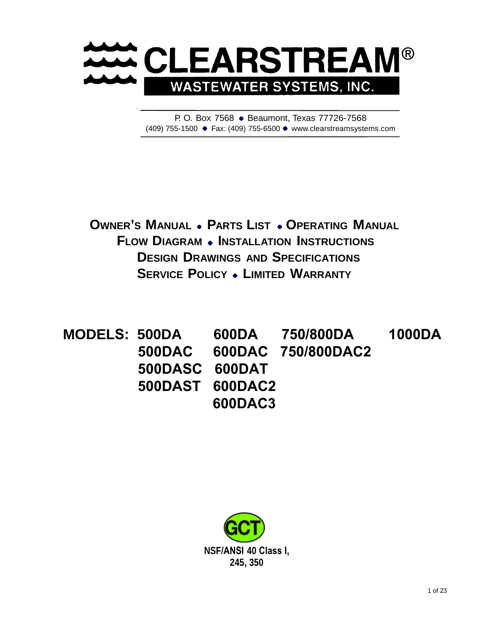

P. O. Box 7568 . Beaumont, Texas [77726-7568](http://www.clearstreamsystems.com/) (409) 755-1500 Fax: (409) 755-6500 www.clearstreamsystems.com

**OWNER'S MANUAL . PARTS LIST . OPERATING MANUAL FLOW DIAGRAM . INSTALLATION INSTRUCTIONS DESIGN DRAWINGS AND SPECIFICATIONS SERVICE POLICY . LIMITED WARRANTY** 

**MODELS: 500DA 600DA 750/800DA 1000DA 500DAC 600DAC 750/800DAC2 500DASC 600DAT 500DAST 600DAC2 600DAC3** 

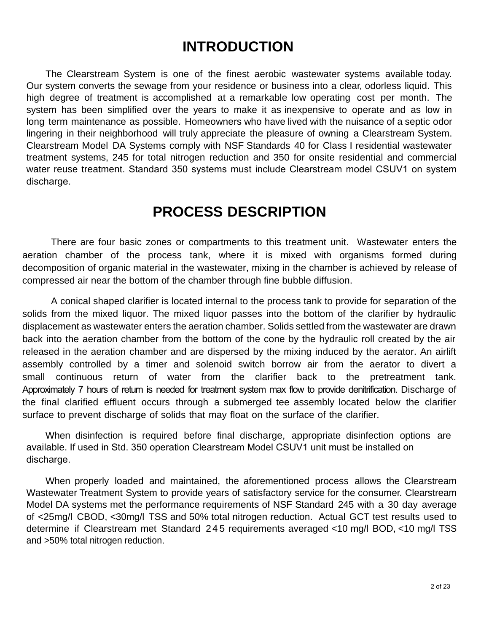## **INTRODUCTION**

The Clearstream System is one of the finest aerobic wastewater systems available today. Our system converts the sewage from your residence or business into a clear, odorless liquid. This high degree of treatment is accomplished at a remarkable low operating cost per month. The system has been simplified over the years to make it as inexpensive to operate and as low in long term maintenance as possible. Homeowners who have lived with the nuisance of a septic odor lingering in their neighborhood will truly appreciate the pleasure of owning a Clearstream System. Clearstream Model DA Systems comply with NSF Standards 40 for Class I residential wastewater treatment systems, 245 for total nitrogen reduction and 350 for onsite residential and commercial water reuse treatment. Standard 350 systems must include Clearstream model CSUV1 on system discharge.

## **PROCESS DESCRIPTION**

There are four basic zones or compartments to this treatment unit. Wastewater enters the aeration chamber of the process tank, where it is mixed with organisms formed during decomposition of organic material in the wastewater, mixing in the chamber is achieved by release of compressed air near the bottom of the chamber through fine bubble diffusion.

A conical shaped clarifier is located internal to the process tank to provide for separation of the solids from the mixed liquor. The mixed liquor passes into the bottom of the clarifier by hydraulic displacement as wastewater enters the aeration chamber. Solids settled from the wastewater are drawn back into the aeration chamber from the bottom of the cone by the hydraulic roll created by the air released in the aeration chamber and are dispersed by the mixing induced by the aerator. An airlift assembly controlled by a timer and solenoid switch borrow air from the aerator to divert a small continuous return of water from the clarifier back to the pretreatment tank. Approximately 7 hours of return is needed for treatment system max flow to provide denitrification. Discharge of the final clarified effluent occurs through a submerged tee assembly located below the clarifier surface to prevent discharge of solids that may float on the surface of the clarifier.

When disinfection is required before final discharge, appropriate disinfection options are available. If used in Std. 350 operation Clearstream Model CSUV1 unit must be installed on discharge.

When properly loaded and maintained, the aforementioned process allows the Clearstream Wastewater Treatment System to provide years of satisfactory service for the consumer. Clearstream Model DA systems met the performance requirements of NSF Standard 245 with a 30 day average of <25mg/l CBOD, <30mg/l TSS and 50% total nitrogen reduction. Actual GCT test results used to determine if Clearstream met Standard 2 4 5 requirements averaged <10 mg/l BOD, <10 mg/l TSS and >50% total nitrogen reduction.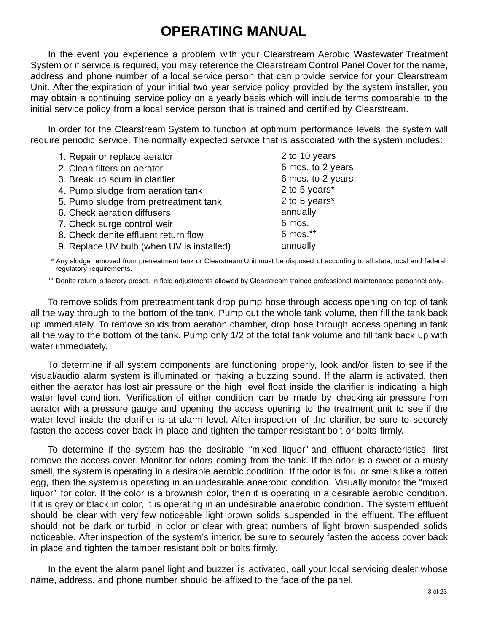## **OPERATING MANUAL**

In the event you experience a problem with your Clearstream Aerobic Wastewater Treatment System or if service is required, you may reference the Clearstream Control Panel Cover for the name, address and phone number of a local service person that can provide service for your Clearstream Unit. After the expiration of your initial two year service policy provided by the system installer, you may obtain a continuing service policy on a yearly basis which will include terms comparable to the initial service policy from a local service person that is trained and certified by Clearstream.

In order for the Clearstream System to function at optimum performance levels, the system will require periodic service. The normally expected service that is associated with the system includes:

| 1. Repair or replace aerator              | 2 to 10 years     |
|-------------------------------------------|-------------------|
| 2. Clean filters on aerator               | 6 mos. to 2 years |
| 3. Break up scum in clarifier             | 6 mos. to 2 years |
| 4. Pump sludge from aeration tank         | 2 to 5 years*     |
| 5. Pump sludge from pretreatment tank     | 2 to 5 years*     |
| 6. Check aeration diffusers               | annually          |
| 7. Check surge control weir               | 6 mos.            |
| 8. Check denite effluent return flow      | 6 mos.**          |
| 9. Replace UV bulb (when UV is installed) | annually          |

\* Any sludge removed from pretreatment tank or Clearstream Unit must be disposed of according to all state, local and federal regulatory requirements.

\*\* Denite return is factory preset. In field adjustments allowed by Clearstream trained professional maintenance personnel only.

To remove solids from pretreatment tank drop pump hose through access opening on top of tank all the way through to the bottom of the tank. Pump out the whole tank volume, then fill the tank back up immediately. To remove solids from aeration chamber, drop hose through access opening in tank all the way to the bottom of the tank. Pump only 1/2 of the total tank volume and fill tank back up with water immediately.

To determine if all system components are functioning properly, look and/or listen to see if the visual/audio alarm system is illuminated or making a buzzing sound. If the alarm is activated, then either the aerator has lost air pressure or the high level float inside the clarifier is indicating a high water level condition. Verification of either condition can be made by checking air pressure from aerator with a pressure gauge and opening the access opening to the treatment unit to see if the water level inside the clarifier is at alarm level. After inspection of the clarifier, be sure to securely fasten the access cover back in place and tighten the tamper resistant bolt or bolts firmly.

To determine if the system has the desirable "mixed liquor" and effluent characteristics, first remove the access cover. Monitor for odors coming from the tank. If the odor is a sweet or a musty smell, the system is operating in a desirable aerobic condition. If the odor is foul or smells like a rotten egg, then the system is operating in an undesirable anaerobic condition. Visually monitor the "mixed liquor" for color. If the color is a brownish color, then it is operating in a desirable aerobic condition. If it is grey or black in color, it is operating in an undesirable anaerobic condition. The system effluent should be clear with very few noticeable light brown solids suspended in the effluent. The effluent should not be dark or turbid in color or clear with great numbers of light brown suspended solids noticeable. After inspection of the system's interior, be sure to securely fasten the access cover back in place and tighten the tamper resistant bolt or bolts firmly.

In the event the alarm panel light and buzzer is activated, call your local servicing dealer whose name, address, and phone number should be affixed to the face of the panel.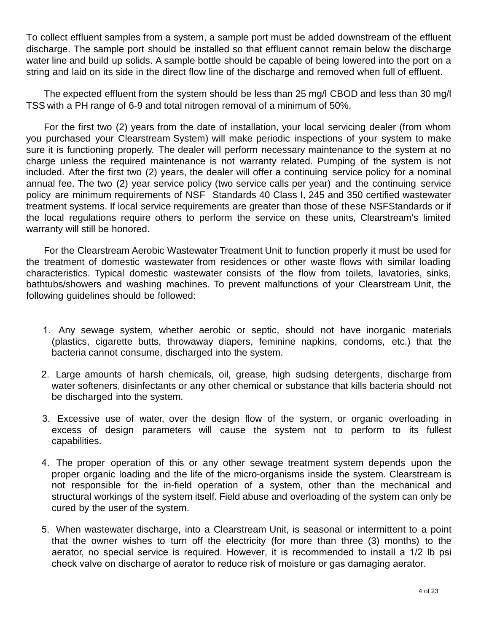To collect effluent samples from a system, a sample port must be added downstream of the effluent discharge. The sample port should be installed so that effluent cannot remain below the discharge water line and build up solids. A sample bottle should be capable of being lowered into the port on a string and laid on its side in the direct flow line of the discharge and removed when full of effluent.

The expected effluent from the system should be less than 25 mg/l CBOD and less than 30 mg/l TSS with a PH range of 6-9 and total nitrogen removal of a minimum of 50%.

For the first two (2) years from the date of installation, your local servicing dealer (from whom you purchased your Clearstream System) will make periodic inspections of your system to make sure it is functioning properly. The dealer will perform necessary maintenance to the system at no charge unless the required maintenance is not warranty related. Pumping of the system is not included. After the first two (2) years, the dealer will offer a continuing service policy for a nominal annual fee. The two (2) year service policy (two service calls per year) and the continuing service policy are minimum requirements of NSF Standards 40 Class I, 245 and 350 certified wastewater treatment systems. If local service requirements are greater than those of these NSF Standards or if the local regulations require others to perform the service on these units, Clearstream's limited warranty will still be honored.

For the Clearstream Aerobic Wastewater Treatment Unit to function properly it must be used for the treatment of domestic wastewater from residences or other waste flows with similar loading characteristics. Typical domestic wastewater consists of the flow from toilets, lavatories, sinks, bathtubs/showers and washing machines. To prevent malfunctions of your Clearstream Unit, the following guidelines should be followed:

- 1. Any sewage system, whether aerobic or septic, should not have inorganic materials (plastics, cigarette butts, throwaway diapers, feminine napkins, condoms, etc.) that the bacteria cannot consume, discharged into the system.
- 2. Large amounts of harsh chemicals, oil, grease, high sudsing detergents, discharge from water softeners, disinfectants or any other chemical or substance that kills bacteria should not be discharged into the system.
- 3. Excessive use of water, over the design flow of the system, or organic overloading in excess of design parameters will cause the system not to perform to its fullest capabilities.
- 4. The proper operation of this or any other sewage treatment system depends upon the proper organic loading and the life of the micro-organisms inside the system. Clearstream is not responsible for the in-field operation of a system, other than the mechanical and structural workings of the system itself. Field abuse and overloading of the system can only be cured by the user of the system.
- 5. When wastewater discharge, into a Clearstream Unit, is seasonal or intermittent to a point that the owner wishes to turn off the electricity (for more than three (3) months) to the aerator, no special service is required. However, it is recommended to install a 1/2 lb psi check valve on discharge of aerator to reduce risk of moisture or gas damaging aerator.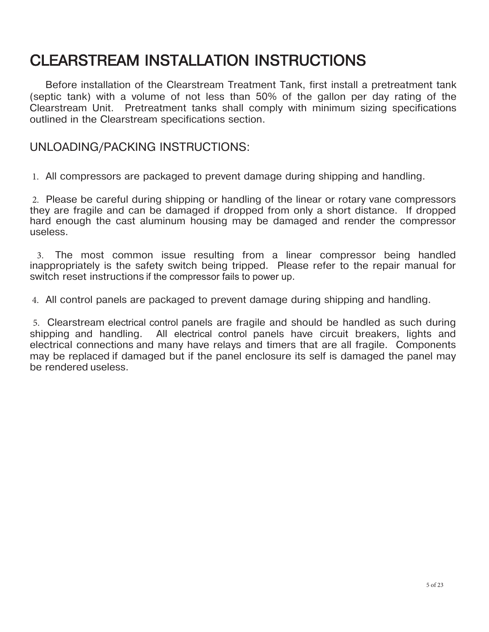# CLEARSTREAM INSTALLATION INSTRUCTIONS

 Before installation of the Clearstream Treatment Tank, first install a pretreatment tank (septic tank) with a volume of not less than 50% of the gallon per day rating of the Clearstream Unit. Pretreatment tanks shall comply with minimum sizing specifications outlined in the Clearstream specifications section.

## UNLOADING/PACKING INSTRUCTIONS:

1. All compressors are packaged to prevent damage during shipping and handling.

2. Please be careful during shipping or handling of the linear or rotary vane compressors they are fragile and can be damaged if dropped from only a short distance. If dropped hard enough the cast aluminum housing may be damaged and render the compressor useless.

3. The most common issue resulting from a linear compressor being handled inappropriately is the safety switch being tripped. Please refer to the repair manual for switch reset instructions if the compressor fails to power up.

4. All control panels are packaged to prevent damage during shipping and handling.

5. Clearstream electrical control panels are fragile and should be handled as such during shipping and handling. All electrical control panels have circuit breakers, lights and electrical connections and many have relays and timers that are all fragile. Components may be replaced if damaged but if the panel enclosure its self is damaged the panel may be rendered useless.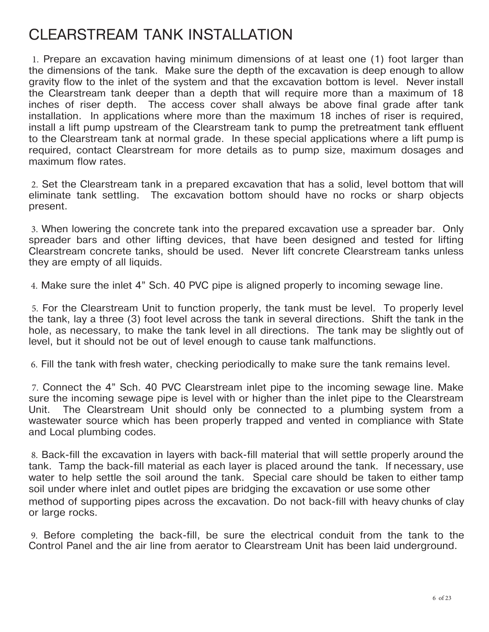## CLEARSTREAM TANK INSTALLATION

1. Prepare an excavation having minimum dimensions of at least one (1) foot larger than the dimensions of the tank. Make sure the depth of the excavation is deep enough to allow gravity flow to the inlet of the system and that the excavation bottom is level. Never install the Clearstream tank deeper than a depth that will require more than a maximum of 18 inches of riser depth. The access cover shall always be above final grade after tank installation. In applications where more than the maximum 18 inches of riser is required, install a lift pump upstream of the Clearstream tank to pump the pretreatment tank effluent to the Clearstream tank at normal grade. In these special applications where a lift pump is required, contact Clearstream for more details as to pump size, maximum dosages and maximum flow rates.

2. Set the Clearstream tank in a prepared excavation that has a solid, level bottom that will eliminate tank settling. The excavation bottom should have no rocks or sharp objects present.

3. When lowering the concrete tank into the prepared excavation use a spreader bar. Only spreader bars and other lifting devices, that have been designed and tested for lifting Clearstream concrete tanks, should be used. Never lift concrete Clearstream tanks unless they are empty of all liquids.

4. Make sure the inlet 4" Sch. 40 PVC pipe is aligned properly to incoming sewage line.

5. For the Clearstream Unit to function properly, the tank must be level. To properly level the tank, lay a three (3) foot level across the tank in several directions. Shift the tank in the hole, as necessary, to make the tank level in all directions. The tank may be slightly out of level, but it should not be out of level enough to cause tank malfunctions.

6. Fill the tank with fresh water, checking periodically to make sure the tank remains level.

7. Connect the 4" Sch. 40 PVC Clearstream inlet pipe to the incoming sewage line. Make sure the incoming sewage pipe is level with or higher than the inlet pipe to the Clearstream Unit. The Clearstream Unit should only be connected to a plumbing system from a wastewater source which has been properly trapped and vented in compliance with State and Local plumbing codes.

8. Back-fill the excavation in layers with back-fill material that will settle properly around the tank. Tamp the back-fill material as each layer is placed around the tank. If necessary, use water to help settle the soil around the tank. Special care should be taken to either tamp soil under where inlet and outlet pipes are bridging the excavation or use some other method of supporting pipes across the excavation. Do not back-fill with heavy chunks of clay or large rocks.

9. Before completing the back-fill, be sure the electrical conduit from the tank to the Control Panel and the air line from aerator to Clearstream Unit has been laid underground.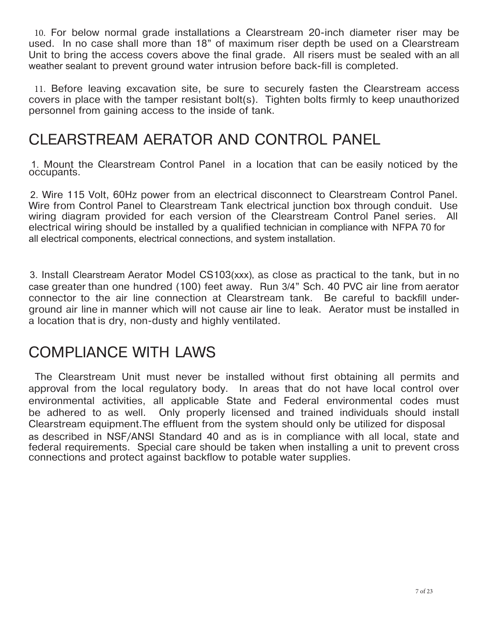10. For below normal grade installations a Clearstream 20-inch diameter riser may be used. In no case shall more than 18" of maximum riser depth be used on a Clearstream Unit to bring the access covers above the final grade. All risers must be sealed with an all weather sealant to prevent ground water intrusion before back-fill is completed.

11. Before leaving excavation site, be sure to securely fasten the Clearstream access covers in place with the tamper resistant bolt(s). Tighten bolts firmly to keep unauthorized personnel from gaining access to the inside of tank.

## CLEARSTREAM AERATOR AND CONTROL PANEL

1. Mount the Clearstream Control Panel in a location that can be easily noticed by the occupants.

2. Wire 115 Volt, 60Hz power from an electrical disconnect to Clearstream Control Panel. Wire from Control Panel to Clearstream Tank electrical junction box through conduit. Use wiring diagram provided for each version of the Clearstream Control Panel series. All electrical wiring should be installed by a qualified technician in compliance with NFPA 70 for all electrical components, electrical connections, and system installation.

3. Install Clearstream Aerator Model CS103(xxx), as close as practical to the tank, but in no case greater than one hundred (100) feet away. Run 3/4" Sch. 40 PVC air line from aerator connector to the air line connection at Clearstream tank. Be careful to backfill underground air line in manner which will not cause air line to leak. Aerator must be installed in a location that is dry, non-dusty and highly ventilated.

## COMPLIANCE WITH LAWS

 The Clearstream Unit must never be installed without first obtaining all permits and approval from the local regulatory body. In areas that do not have local control over environmental activities, all applicable State and Federal environmental codes must be adhered to as well. Only properly licensed and trained individuals should install Clearstream equipment.The effluent from the system should only be utilized for disposal as described in NSF/ANSI Standard 40 and as is in compliance with all local, state and federal requirements. Special care should be taken when installing a unit to prevent cross connections and protect against backflow to potable water supplies.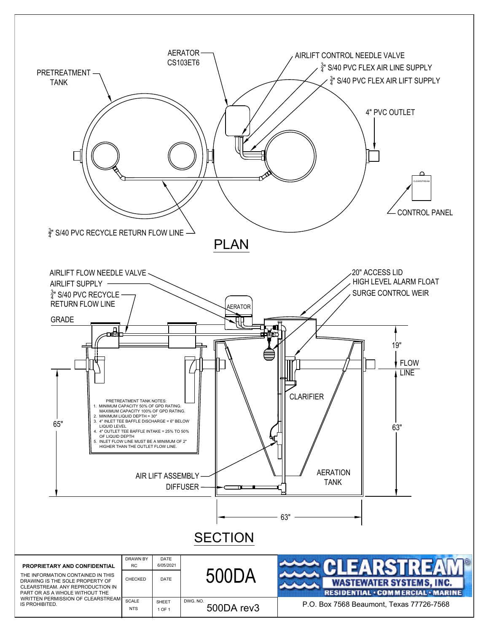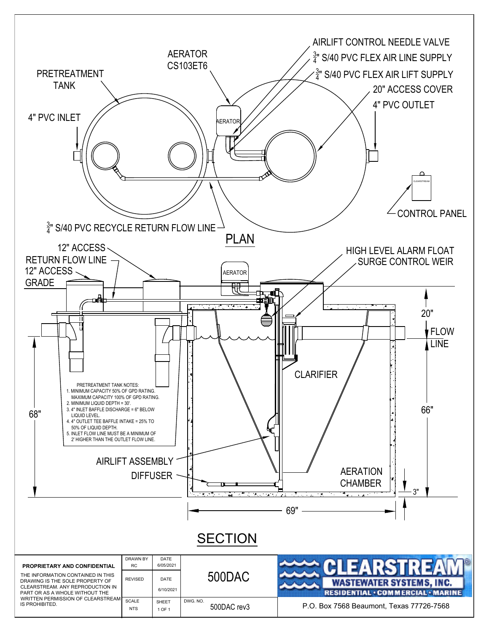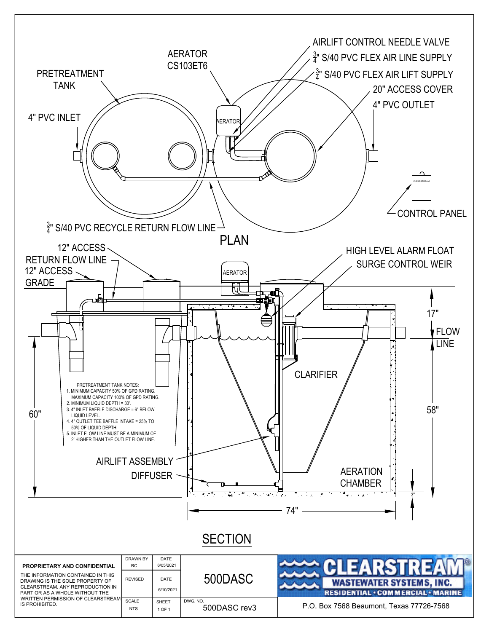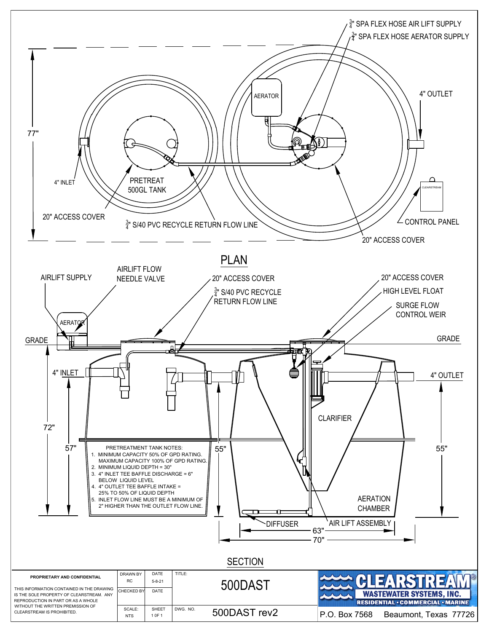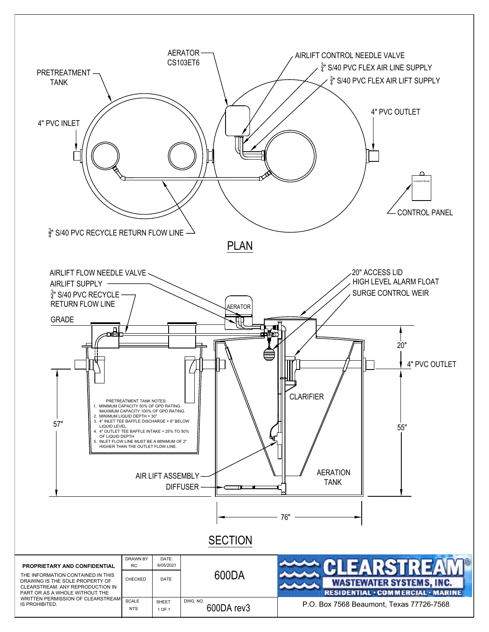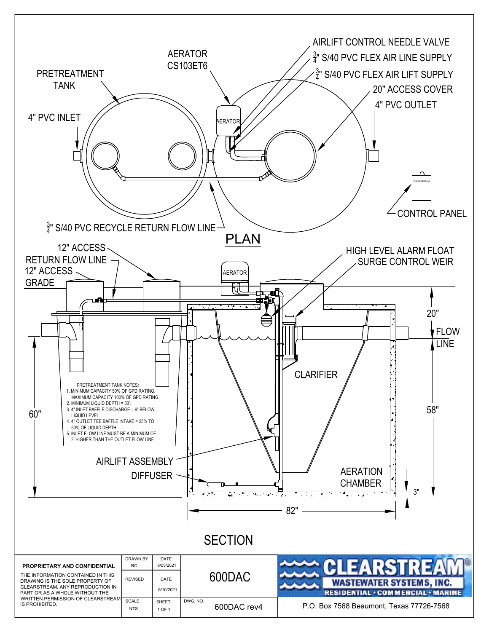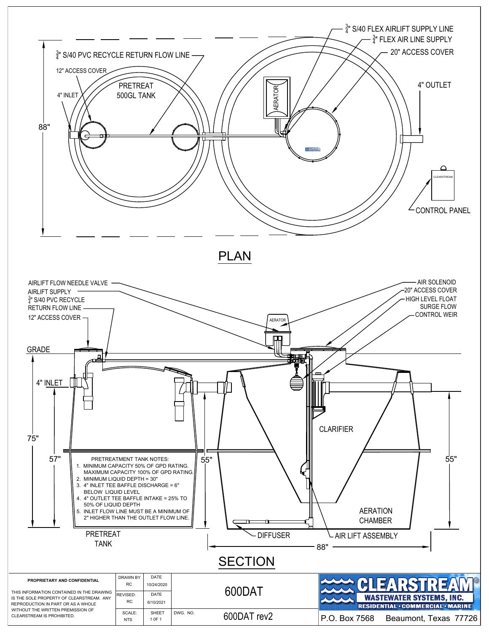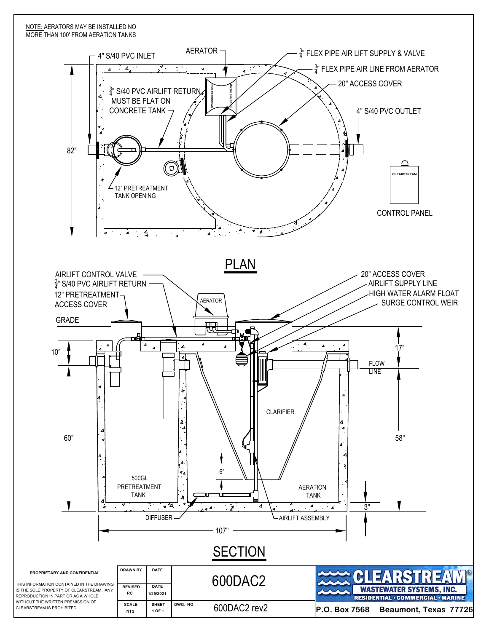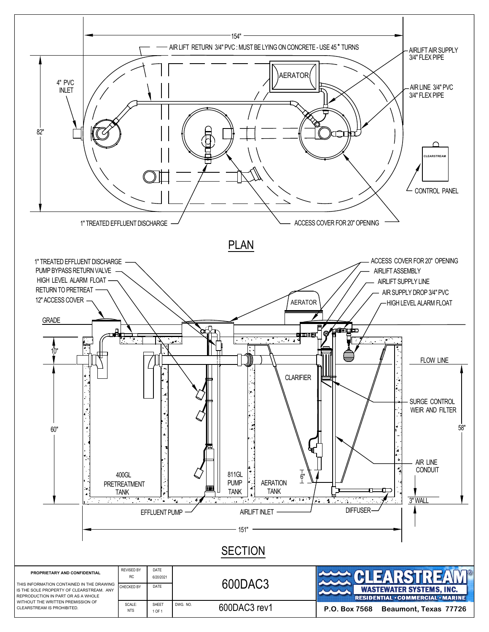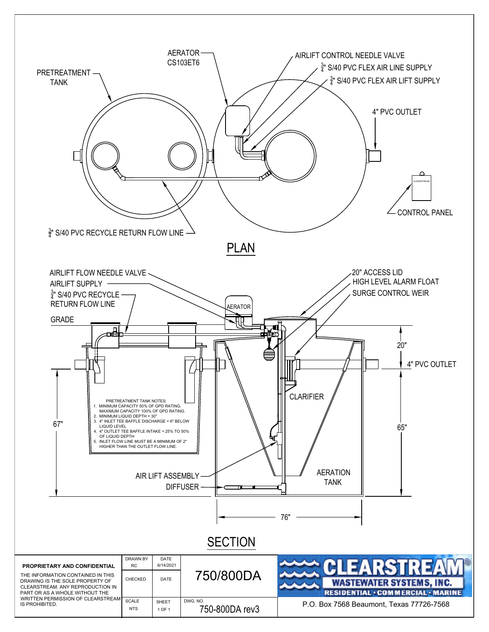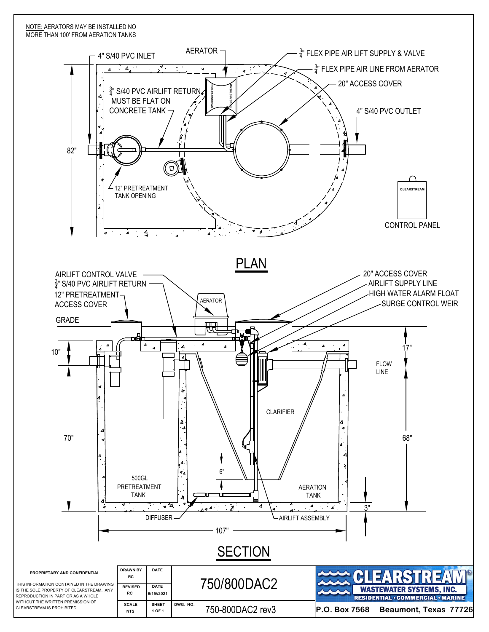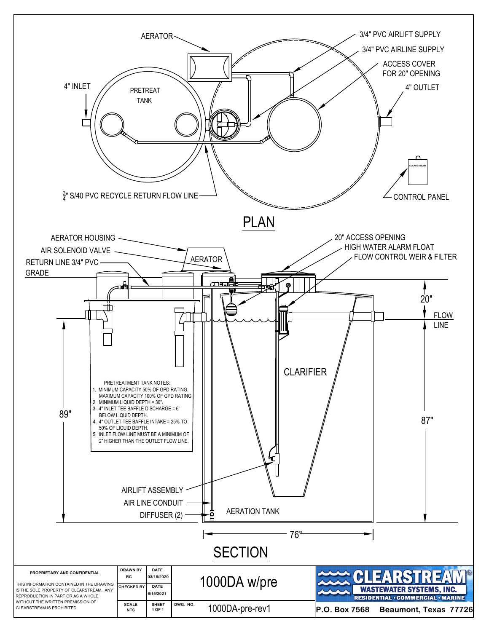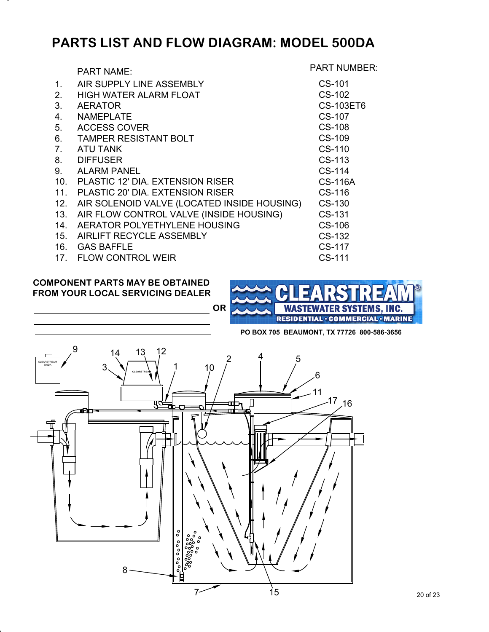## **PARTS LIST AND FLOW DIAGRAM: MODEL 500DA**

|                | <b>PART NAME:</b>                           | <b>PART NUMBER:</b> |
|----------------|---------------------------------------------|---------------------|
| 1.             | AIR SUPPLY LINE ASSEMBLY                    | CS-101              |
| 2 <sub>1</sub> | HIGH WATER ALARM FLOAT                      | CS-102              |
| 3.             | <b>AERATOR</b>                              | <b>CS-103ET6</b>    |
| 4.             | <b>NAMEPLATE</b>                            | CS-107              |
| 5.             | <b>ACCESS COVER</b>                         | <b>CS-108</b>       |
| 6.             | <b>TAMPER RESISTANT BOLT</b>                | CS-109              |
| 7 <sub>1</sub> | ATU TANK                                    | CS-110              |
| 8.             | <b>DIFFUSER</b>                             | CS-113              |
| 9.             | <b>ALARM PANEL</b>                          | CS-114              |
|                | 10. PLASTIC 12' DIA, EXTENSION RISER        | <b>CS-116A</b>      |
| 11.            | PLASTIC 20' DIA, EXTENSION RISER            | CS-116              |
| 12.            | AIR SOLENOID VALVE (LOCATED INSIDE HOUSING) | CS-130              |
| 13.            | AIR FLOW CONTROL VALVE (INSIDE HOUSING)     | CS-131              |
| 14.            | AERATOR POLYETHYLENE HOUSING                | CS-106              |
|                | 15. AIRLIFT RECYCLE ASSEMBLY                | CS-132              |
|                | 16. GAS BAFFLE                              | CS-117              |
|                | 17. FLOW CONTROL WEIR                       | CS-111              |

### **COMPONENT PARTS MAY BE OBTAINED FROM YOUR LOCAL SERVICING DEALER**

.

.



**PO BOX 705 BEAUMONT, TX 77726 800-586-3656**

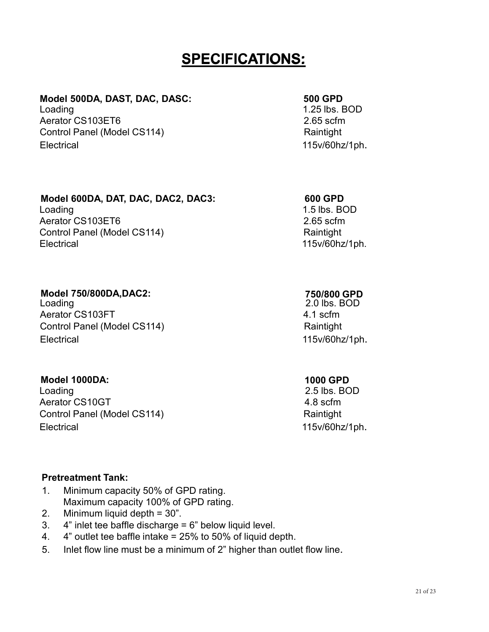## **SPECIFICATIONS:**

# **Model 500DA, DAST, DAC, DASC:** 500 **GPD**<br>
Loading 1.25 lbs. E

Aerator CS103FT6 2.65 scfm Control Panel (Model CS114) Raintight Electrical 115v/60hz/1ph.

 $1.25$  lbs. BOD

### **Model 600DA, DAT, DAC, DAC2, DAC3:**

Loading 1.5 lbs. BOD Aerator CS103ET6 2.65 scfm Control Panel (Model CS114) Raintight Electrical 115v/60hz/1ph.

# **Model 750/800DA,DAC2:**

Aerator CS103FT 4.1 scfm Control Panel (Model CS114) Raintight Electrical 115v/60hz/1ph.

### **Model 1000DA:**

Loading 2.5 lbs. BOD Aerator CS10GT 4.8 scfm Control Panel (Model CS114) Raintight Electrical 115v/60hz/1ph.

### **Pretreatment Tank:**

- 1. Minimum capacity 50% of GPD rating. Maximum capacity 100% of GPD rating.
- 2. Minimum liquid depth = 30".
- 3.  $4"$  inlet tee baffle discharge =  $6"$  below liquid level.
- 4. 4" outlet tee baffle intake = 25% to 50% of liquid depth.
- 5. Inlet flow line must be a minimum of 2" higher than outlet flow line.

### **600 GPD**

### **750/800 GPD**

2.0 lbs. BOD

### **1000 GPD**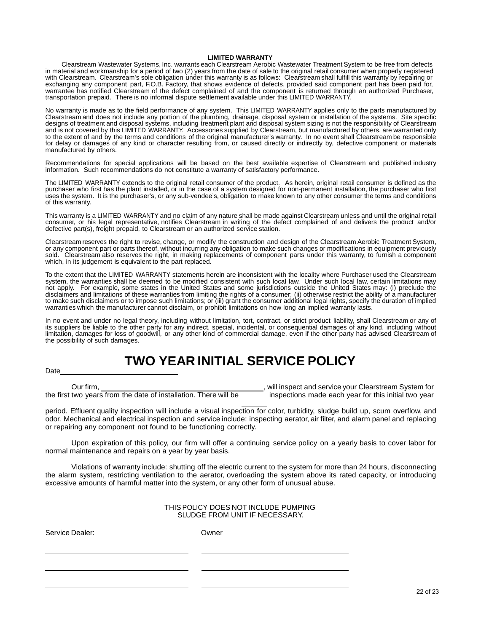### **LIMITED WARRANTY**

Clearstream Wastewater Systems, Inc. warrants each Clearstream Aerobic Wastewater Treatment System to be free from defects in material and workmanship for a period of two (2) years from the date of sale to the original retail consumer when properly registered with Clearstream. Clearstream's sole obligation under this warranty is as follows: Clearstream shall fulfill this warranty by repairing or exchanging any component part, F.O.B. Factory, that shows evidence of defects, provided said component part has been paid for, warrantee has notified Clearstream of the defect complained of and the component is returned through an authorized Purchaser, transportation prepaid. There is no informal dispute settlement available under this LIMITED WARRANTY.

No warranty is made as to the field performance of any system. This LIMITED WARRANTY applies only to the parts manufactured by Clearstream and does not include any portion of the plumbing, drainage, disposal system or installation of the systems. Site specific designs of treatment and disposal systems, including treatment plant and disposal system sizing is not the responsibility of Clearstream and is not covered by this LIMITED WARRANTY. Accessories supplied by Clearstream, but manufactured by others, are warranted only to the extent of and by the terms and conditions of the original manufacturer's warranty. In no event shall Clearstream be responsible for delay or damages of any kind or character resulting from, or caused directly or indirectly by, defective component or materials manufactured by others.

Recommendations for special applications will be based on the best available expertise of Clearstream and published industry information. Such recommendations do not constitute a warranty of satisfactory performance.

The LIMITED WARRANTY extends to the original retail consumer of the product. As herein, original retail consumer is defined as the purchaser who first has the plant installed, or in the case of a system designed for non-permanent installation, the purchaser who first uses the system. It is the purchaser's, or any sub-vendee's, obligation to make known to any other consumer the terms and conditions of this warranty.

This warranty is a LIMITED WARRANTY and no claim of any nature shall be made against Clearstream unless and until the original retail consumer, or his legal representative, notifies Clearstream in writing of the defect complained of and delivers the product and/or defective part(s), freight prepaid, to Clearstream or an authorized service station.

Clearstream reserves the right to revise, change, or modify the construction and design of the Clearstream Aerobic Treatment System, or any component part or parts thereof, without incurring any obligation to make such changes or modifications in equipment previously sold. Clearstream also reserves the right, in making replacements of component parts under this warranty, to furnish a component which, in its judgement is equivalent to the part replaced.

To the extent that the LIMITED WARRANTY statements herein are inconsistent with the locality where Purchaser used the Clearstream system, the warranties shall be deemed to be modified consistent with such local law. Under such local law, certain limitations may not apply. For example, some states in the United States and some jurisdictions outside the United States may: (i) preclude the disclaimers and limitations of these warranties from limiting the rights of a consumer; (ii) otherwise restrict the ability of a manufacturer to make such disclaimers or to impose such limitations; or (iii) grant the consumer additional legal rights, specify the duration of implied warranties which the manufacturer cannot disclaim, or prohibit limitations on how long an implied warranty lasts.

In no event and under no legal theory, including without limitation, tort, contract, or strict product liability, shall Clearstream or any of its suppliers be liable to the other party for any indirect, special, incidental, or consequential damages of any kind, including without limitation, damages for loss of goodwill, or any other kind of commercial damage, even if the other party has advised Clearstream of the possibility of such damages.

## **TWO YEAR INITIAL SERVICE POLICY**

Date

Our firm, the first two years from the date of installation. There will be , will inspect and service your Clearstream System for inspections made each year for this initial two year

period. Effluent quality inspection will include a visual inspection for color, turbidity, sludge build up, scum overflow, and odor. Mechanical and electrical inspection and service include: inspecting aerator, air filter, and alarm panel and replacing or repairing any component not found to be functioning correctly.

Upon expiration of this policy, our firm will offer a continuing service policy on a yearly basis to cover labor for normal maintenance and repairs on a year by year basis.

Violations of warranty include: shutting off the electric current to the system for more than 24 hours, disconnecting the alarm system, restricting ventilation to the aerator, overloading the system above its rated capacity, or introducing excessive amounts of harmful matter into the system, or any other form of unusual abuse.

> THIS POLICY DOES NOT INCLUDE PUMPING SLUDGE FROM UNIT IF NECESSARY.

Service Dealer: Owner

22 of 23